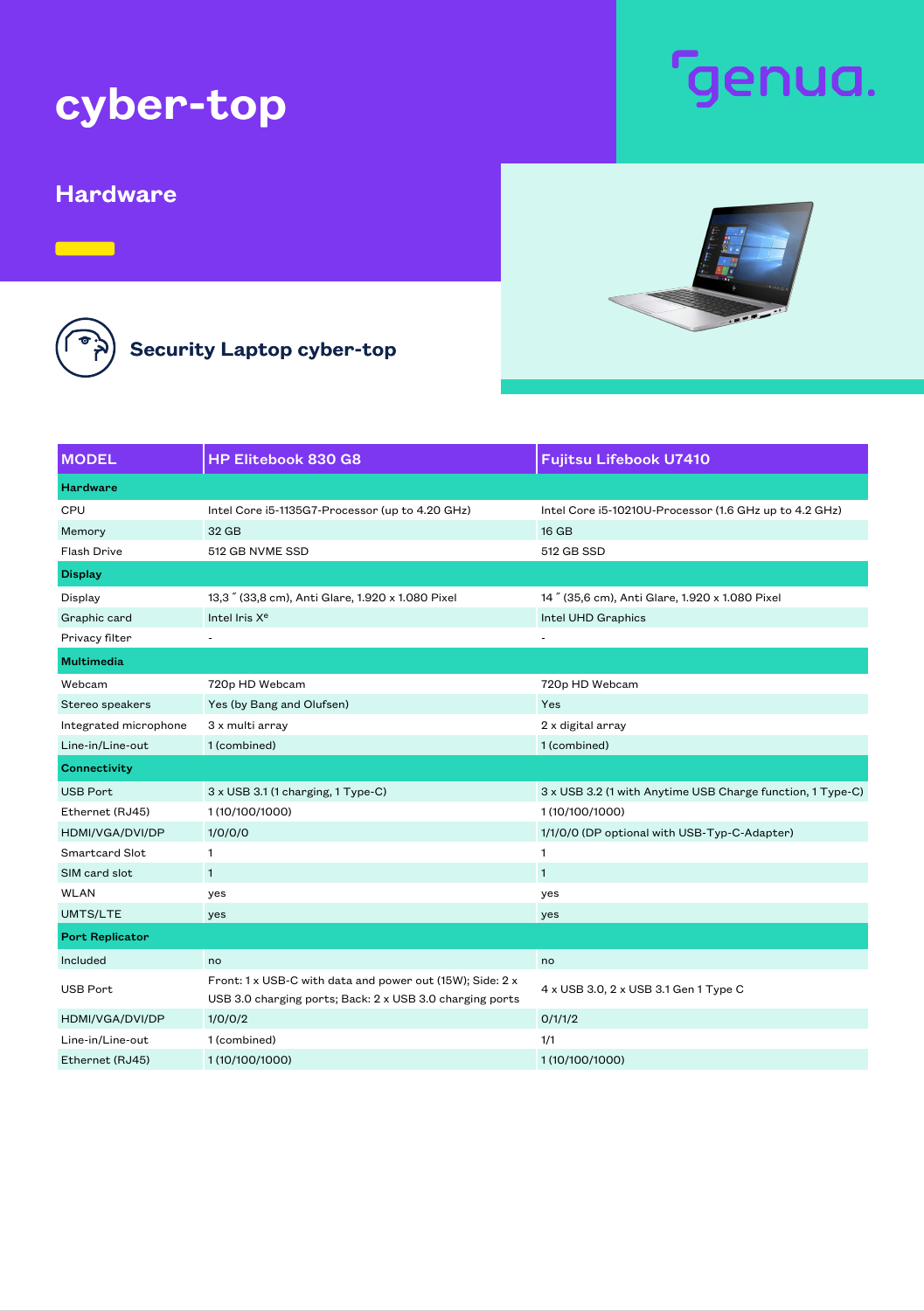## cyber-top

## Hardware

Security Laptop cyber-top

MODEL **HP Elitebook 830 G8** Fujitsu Lifebook U7410 **Hardware** CPU Intel Core i5-1135G7-Processor (up to 4.20 GHz) Intel Core i5-10210U-Processor (1.6 GHz up to 4.2 GHz) Memory 32 GB 16 GB Flash Drive 512 GB NVME SSD 512 GB SSD Display Display 13,3" (33,8 cm), Anti Glare, 1.920 x 1.080 Pixel 14" (35,6 cm), Anti Glare, 1.920 x 1.080 Pixel Graphic card **Intel Iris X<sup>e</sup>** Intel Iris X<sup>e</sup> **Intel III** Intel UHD Graphics Privacy filter Multimedia Webcam 720p HD Webcam 720p HD Webcam Stereo speakers Yes (by Bang and Olufsen) Yes (Stereo speakers Yes Integrated microphone 3 x multi array 2 x digital array 2 x digital array Line-in/Line-out 1 (combined) 1 (combined) **Connectivity** USB Port 3 x USB 3.1 (1 charging, 1 Type-C) 3 x USB 3.2 (1 with Anytime USB Charge function, 1 Type-C) Ethernet (RJ45) 1 (10/100/1000) 1 (10/10000 1 (10/10000 1 (10/10000 1 (10/1000 1 HDMI/VGA/DVI/DP 1/0/0/0 1/1/0/0 1/1/0/0 (DP optional with USB-Typ-C-Adapter) Smartcard Slot 1 1 SIM card slot 1 1 WLAN yes yes UMTS/LTE yes yes Port Replicator Included a control of the control of the control of the control of the control of the control of the control o USB Port Front: 1 x USB-C with data and power out (15W); Side: 2 x USB 3.0 charging ports; Back: 2 x USB 3.0 charging ports 4 x USB 3.0, 2 x USB 3.1 Gen 1 Type C HDMI/VGA/DVI/DP 1/0/0/2 0/1/1/2 Line-in/Line-out 1 (combined) 1/1 Ethernet (RJ45) 1 (10/100/1000) 1 (10/100/1000) Intel Iris X<sup>e</sup>